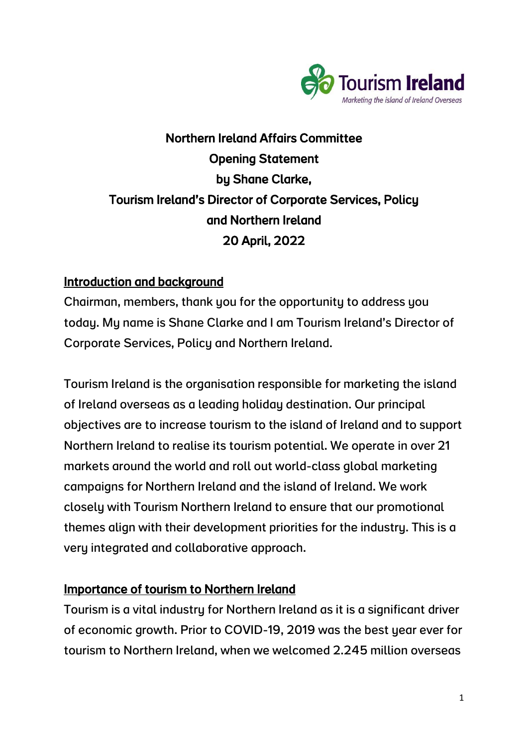

# Northern Ireland Affairs Committee Opening Statement by Shane Clarke, Tourism Ireland's Director of Corporate Services, Policy and Northern Ireland 20 April, 2022

# Introduction and background

Chairman, members, thank you for the opportunity to address you today. My name is Shane Clarke and I am Tourism Ireland's Director of Corporate Services, Policy and Northern Ireland.

Tourism Ireland is the organisation responsible for marketing the island of Ireland overseas as a leading holiday destination. Our principal objectives are to increase tourism to the island of Ireland and to support Northern Ireland to realise its tourism potential. We operate in over 21 markets around the world and roll out world-class global marketing campaigns for Northern Ireland and the island of Ireland. We work closely with Tourism Northern Ireland to ensure that our promotional themes align with their development priorities for the industry. This is a very integrated and collaborative approach.

# Importance of tourism to Northern Ireland

Tourism is a vital industry for Northern Ireland as it is a significant driver of economic growth. Prior to COVID-19, 2019 was the best year ever for tourism to Northern Ireland, when we welcomed 2.245 million overseas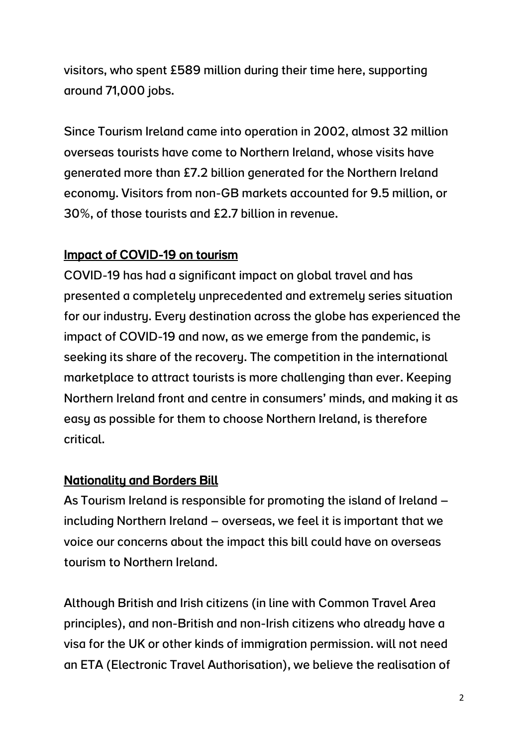visitors, who spent £589 million during their time here, supporting around 71,000 jobs.

Since Tourism Ireland came into operation in 2002, almost 32 million overseas tourists have come to Northern Ireland, whose visits have generated more than £7.2 billion generated for the Northern Ireland economy. Visitors from non-GB markets accounted for 9.5 million, or 30%, of those tourists and £2.7 billion in revenue.

# Impact of COVID-19 on tourism

COVID-19 has had a significant impact on global travel and has presented a completely unprecedented and extremely series situation for our industry. Every destination across the globe has experienced the impact of COVID-19 and now, as we emerge from the pandemic, is seeking its share of the recovery. The competition in the international marketplace to attract tourists is more challenging than ever. Keeping Northern Ireland front and centre in consumers' minds, and making it as easy as possible for them to choose Northern Ireland, is therefore critical.

# Nationality and Borders Bill

As Tourism Ireland is responsible for promoting the island of Ireland – including Northern Ireland – overseas, we feel it is important that we voice our concerns about the impact this bill could have on overseas tourism to Northern Ireland.

Although British and Irish citizens (in line with Common Travel Area principles), and non-British and non-Irish citizens who already have a visa for the UK or other kinds of immigration permission. will not need an ETA (Electronic Travel Authorisation), we believe the realisation of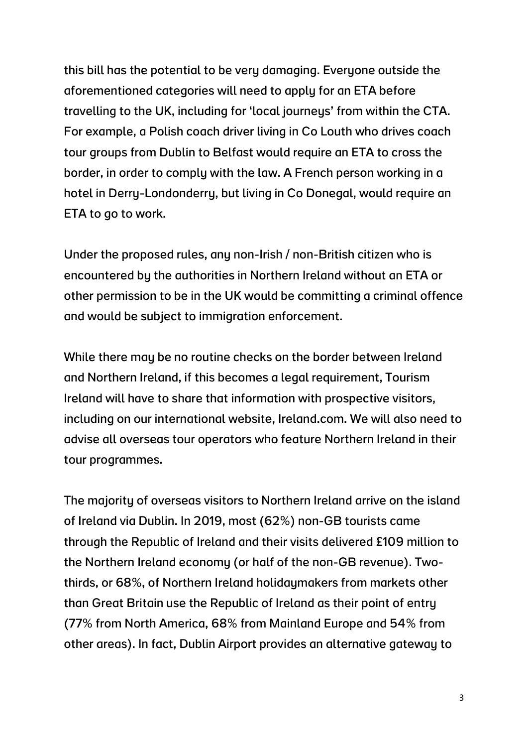this bill has the potential to be very damaging. Everyone outside the aforementioned categories will need to apply for an ETA before travelling to the UK, including for 'local journeys' from within the CTA. For example, a Polish coach driver living in Co Louth who drives coach tour groups from Dublin to Belfast would require an ETA to cross the border, in order to comply with the law. A French person working in a hotel in Derry-Londonderry, but living in Co Donegal, would require an ETA to go to work.

Under the proposed rules, any non-Irish / non-British citizen who is encountered by the authorities in Northern Ireland without an ETA or other permission to be in the UK would be committing a criminal offence and would be subject to immigration enforcement.

While there may be no routine checks on the border between Ireland and Northern Ireland, if this becomes a legal requirement, Tourism Ireland will have to share that information with prospective visitors, including on our international website, Ireland.com. We will also need to advise all overseas tour operators who feature Northern Ireland in their tour programmes.

The majority of overseas visitors to Northern Ireland arrive on the island of Ireland via Dublin. In 2019, most (62%) non-GB tourists came through the Republic of Ireland and their visits delivered £109 million to the Northern Ireland economy (or half of the non-GB revenue). Twothirds, or 68%, of Northern Ireland holidaymakers from markets other than Great Britain use the Republic of Ireland as their point of entry (77% from North America, 68% from Mainland Europe and 54% from other areas). In fact, Dublin Airport provides an alternative gateway to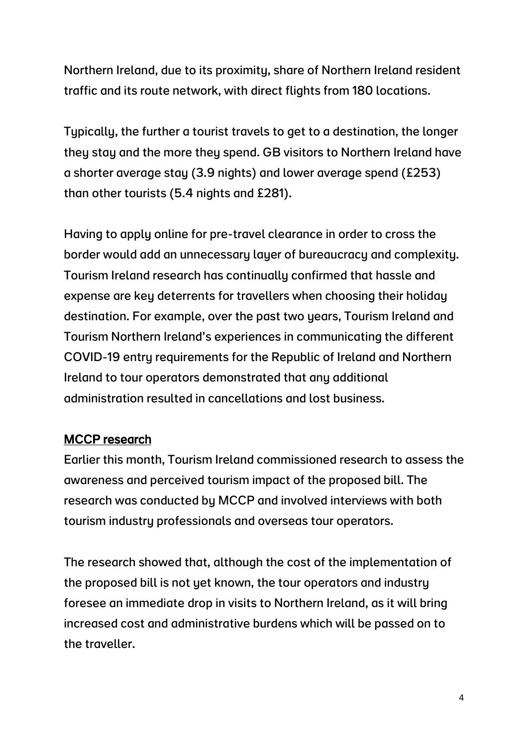Northern Ireland, due to its proximity, share of Northern Ireland resident traffic and its route network, with direct flights from 180 locations.

Tupically, the further a tourist travels to get to a destination, the longer they stay and the more they spend. GB visitors to Northern Ireland have a shorter average stay (3.9 nights) and lower average spend (£253) than other tourists (5.4 nights and £281).

Having to apply online for pre-travel clearance in order to cross the border would add an unnecessary layer of bureaucracy and complexity. Tourism Ireland research has continually confirmed that hassle and expense are key deterrents for travellers when choosing their holiday destination. For example, over the past two years, Tourism Ireland and Tourism Northern Ireland's experiences in communicating the different COVID-19 entry requirements for the Republic of Ireland and Northern Ireland to tour operators demonstrated that any additional administration resulted in cancellations and lost business.

# MCCP research

Earlier this month, Tourism Ireland commissioned research to assess the awareness and perceived tourism impact of the proposed bill. The research was conducted by MCCP and involved interviews with both tourism industry professionals and overseas tour operators.

The research showed that, although the cost of the implementation of the proposed bill is not yet known, the tour operators and industry foresee an immediate drop in visits to Northern Ireland, as it will bring increased cost and administrative burdens which will be passed on to the traveller.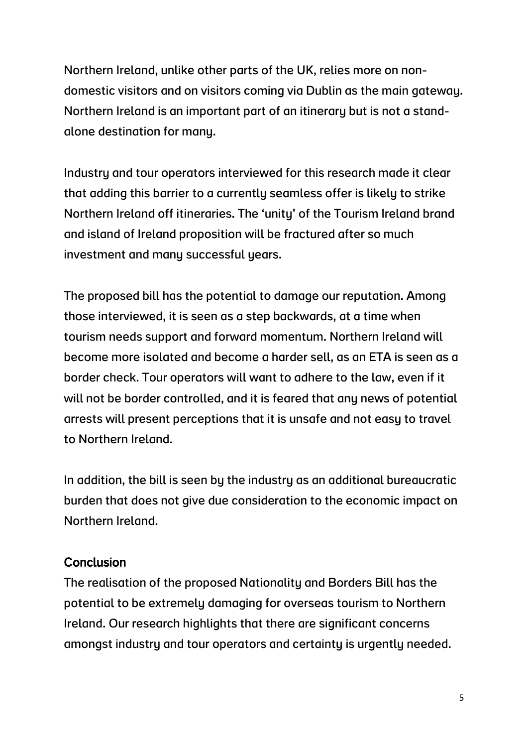Northern Ireland, unlike other parts of the UK, relies more on nondomestic visitors and on visitors coming via Dublin as the main gateway. Northern Ireland is an important part of an itinerary but is not a standalone destination for many.

Industry and tour operators interviewed for this research made it clear that adding this barrier to a currently seamless offer is likely to strike Northern Ireland off itineraries. The 'unity' of the Tourism Ireland brand and island of Ireland proposition will be fractured after so much investment and many successful years.

The proposed bill has the potential to damage our reputation. Among those interviewed, it is seen as a step backwards, at a time when tourism needs support and forward momentum. Northern Ireland will become more isolated and become a harder sell, as an ETA is seen as a border check. Tour operators will want to adhere to the law, even if it will not be border controlled, and it is feared that any news of potential arrests will present perceptions that it is unsafe and not easy to travel to Northern Ireland.

In addition, the bill is seen by the industry as an additional bureaucratic burden that does not give due consideration to the economic impact on Northern Ireland.

#### **Conclusion**

The realisation of the proposed Nationality and Borders Bill has the potential to be extremely damaging for overseas tourism to Northern Ireland. Our research highlights that there are significant concerns amongst industry and tour operators and certainty is urgently needed.